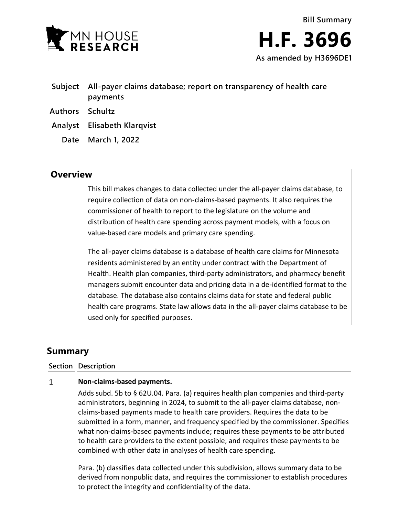

- **Subject All-payer claims database; report on transparency of health care payments**
- **Authors Schultz**
- **Analyst Elisabeth Klarqvist**
	- **Date March 1, 2022**

## **Overview**

This bill makes changes to data collected under the all-payer claims database, to require collection of data on non-claims-based payments. It also requires the commissioner of health to report to the legislature on the volume and distribution of health care spending across payment models, with a focus on value-based care models and primary care spending.

The all-payer claims database is a database of health care claims for Minnesota residents administered by an entity under contract with the Department of Health. Health plan companies, third-party administrators, and pharmacy benefit managers submit encounter data and pricing data in a de-identified format to the database. The database also contains claims data for state and federal public health care programs. State law allows data in the all-payer claims database to be used only for specified purposes.

# **Summary**

**Section Description**

#### $\mathbf{1}$ **Non-claims-based payments.**

Adds subd. 5b to § 62U.04. Para. (a) requires health plan companies and third-party administrators, beginning in 2024, to submit to the all-payer claims database, nonclaims-based payments made to health care providers. Requires the data to be submitted in a form, manner, and frequency specified by the commissioner. Specifies what non-claims-based payments include; requires these payments to be attributed to health care providers to the extent possible; and requires these payments to be combined with other data in analyses of health care spending.

Para. (b) classifies data collected under this subdivision, allows summary data to be derived from nonpublic data, and requires the commissioner to establish procedures to protect the integrity and confidentiality of the data.